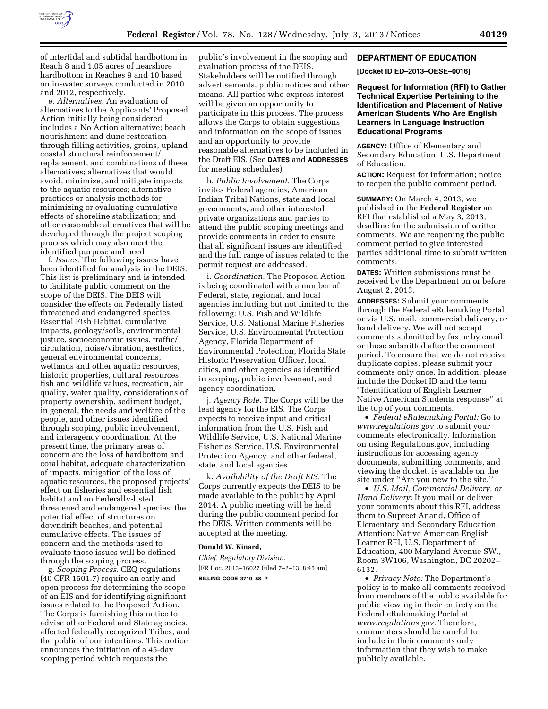

of intertidal and subtidal hardbottom in Reach 8 and 1.05 acres of nearshore hardbottom in Reaches 9 and 10 based on in-water surveys conducted in 2010 and 2012, respectively.

e. *Alternatives.* An evaluation of alternatives to the Applicants' Proposed Action initially being considered includes a No Action alternative; beach nourishment and dune restoration through filling activities, groins, upland coastal structural reinforcement/ replacement, and combinations of these alternatives; alternatives that would avoid, minimize, and mitigate impacts to the aquatic resources; alternative practices or analysis methods for minimizing or evaluating cumulative effects of shoreline stabilization; and other reasonable alternatives that will be developed through the project scoping process which may also meet the identified purpose and need.

f. *Issues.* The following issues have been identified for analysis in the DEIS. This list is preliminary and is intended to facilitate public comment on the scope of the DEIS. The DEIS will consider the effects on Federally listed threatened and endangered species, Essential Fish Habitat, cumulative impacts, geology/soils, environmental justice, socioeconomic issues, traffic/ circulation, noise/vibration, aesthetics, general environmental concerns, wetlands and other aquatic resources, historic properties, cultural resources, fish and wildlife values, recreation, air quality, water quality, considerations of property ownership, sediment budget, in general, the needs and welfare of the people, and other issues identified through scoping, public involvement, and interagency coordination. At the present time, the primary areas of concern are the loss of hardbottom and coral habitat, adequate characterization of impacts, mitigation of the loss of aquatic resources, the proposed projects' effect on fisheries and essential fish habitat and on Federally-listed threatened and endangered species, the potential effect of structures on downdrift beaches, and potential cumulative effects. The issues of concern and the methods used to evaluate those issues will be defined through the scoping process.

g. *Scoping Process.* CEQ regulations (40 CFR 1501.7) require an early and open process for determining the scope of an EIS and for identifying significant issues related to the Proposed Action. The Corps is furnishing this notice to advise other Federal and State agencies, affected federally recognized Tribes, and the public of our intentions. This notice announces the initiation of a 45-day scoping period which requests the

public's involvement in the scoping and evaluation process of the DEIS. Stakeholders will be notified through advertisements, public notices and other means. All parties who express interest will be given an opportunity to participate in this process. The process allows the Corps to obtain suggestions and information on the scope of issues and an opportunity to provide reasonable alternatives to be included in the Draft EIS. (See **DATES** and **ADDRESSES** for meeting schedules)

h. *Public Involvement.* The Corps invites Federal agencies, American Indian Tribal Nations, state and local governments, and other interested private organizations and parties to attend the public scoping meetings and provide comments in order to ensure that all significant issues are identified and the full range of issues related to the permit request are addressed.

i. *Coordination.* The Proposed Action is being coordinated with a number of Federal, state, regional, and local agencies including but not limited to the following: U.S. Fish and Wildlife Service, U.S. National Marine Fisheries Service, U.S. Environmental Protection Agency, Florida Department of Environmental Protection, Florida State Historic Preservation Officer, local cities, and other agencies as identified in scoping, public involvement, and agency coordination.

j. *Agency Role.* The Corps will be the lead agency for the EIS. The Corps expects to receive input and critical information from the U.S. Fish and Wildlife Service, U.S. National Marine Fisheries Service, U.S. Environmental Protection Agency, and other federal, state, and local agencies.

k. *Availability of the Draft EIS.* The Corps currently expects the DEIS to be made available to the public by April 2014. A public meeting will be held during the public comment period for the DEIS. Written comments will be accepted at the meeting.

#### **Donald W. Kinard,**

*Chief, Regulatory Division.*  [FR Doc. 2013–16027 Filed 7–2–13; 8:45 am] **BILLING CODE 3710–58–P** 

# **DEPARTMENT OF EDUCATION**

### **[Docket ID ED–2013–OESE–0016]**

**Request for Information (RFI) to Gather Technical Expertise Pertaining to the Identification and Placement of Native American Students Who Are English Learners in Language Instruction Educational Programs** 

**AGENCY:** Office of Elementary and Secondary Education, U.S. Department of Education.

**ACTION:** Request for information; notice to reopen the public comment period.

**SUMMARY:** On March 4, 2013, we published in the **Federal Register** an RFI that established a May 3, 2013, deadline for the submission of written comments. We are reopening the public comment period to give interested parties additional time to submit written comments.

**DATES:** Written submissions must be received by the Department on or before August 2, 2013.

**ADDRESSES:** Submit your comments through the Federal eRulemaking Portal or via U.S. mail, commercial delivery, or hand delivery. We will not accept comments submitted by fax or by email or those submitted after the comment period. To ensure that we do not receive duplicate copies, please submit your comments only once. In addition, please include the Docket ID and the term ''Identification of English Learner Native American Students response'' at the top of your comments.

• *Federal eRulemaking Portal:* Go to *[www.regulations.gov](http://www.regulations.gov)* to submit your comments electronically. Information on using Regulations.gov, including instructions for accessing agency documents, submitting comments, and viewing the docket, is available on the site under ''Are you new to the site.''

• *U.S. Mail, Commercial Delivery, or Hand Delivery:* If you mail or deliver your comments about this RFI, address them to Supreet Anand, Office of Elementary and Secondary Education, Attention: Native American English Learner RFI, U.S. Department of Education, 400 Maryland Avenue SW., Room 3W106, Washington, DC 20202– 6132.

• *Privacy Note:* The Department's policy is to make all comments received from members of the public available for public viewing in their entirety on the Federal eRulemaking Portal at *[www.regulations.gov.](http://www.regulations.gov)* Therefore, commenters should be careful to include in their comments only information that they wish to make publicly available.